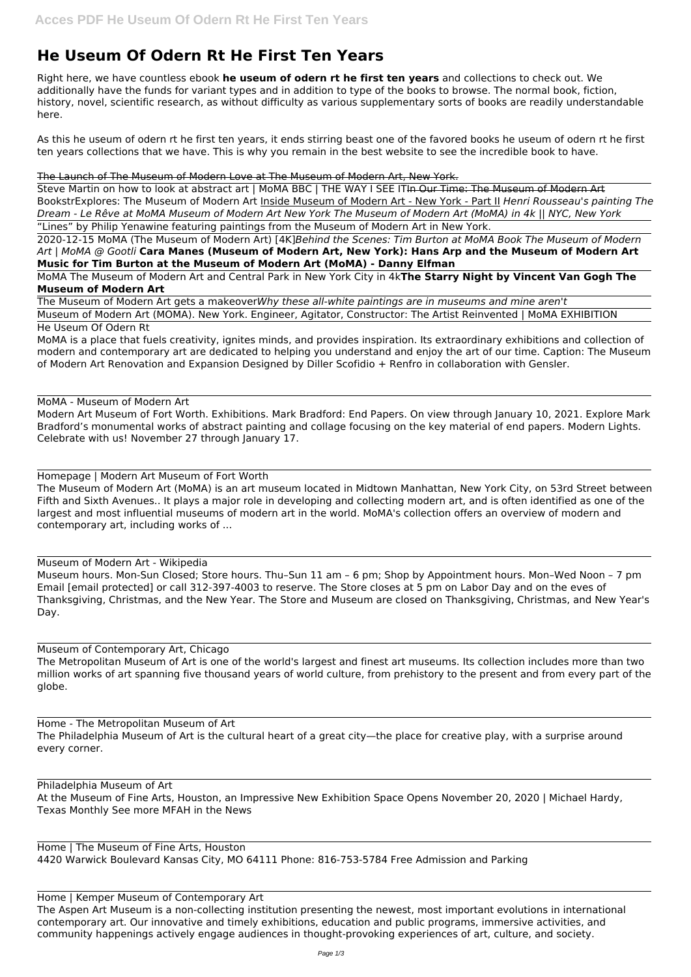# **He Useum Of Odern Rt He First Ten Years**

Right here, we have countless ebook **he useum of odern rt he first ten years** and collections to check out. We additionally have the funds for variant types and in addition to type of the books to browse. The normal book, fiction, history, novel, scientific research, as without difficulty as various supplementary sorts of books are readily understandable here.

As this he useum of odern rt he first ten years, it ends stirring beast one of the favored books he useum of odern rt he first ten years collections that we have. This is why you remain in the best website to see the incredible book to have.

Steve Martin on how to look at abstract art | MoMA BBC | THE WAY I SEE ITIn Our Time: The Museum of Modern Art BookstrExplores: The Museum of Modern Art Inside Museum of Modern Art - New York - Part II *Henri Rousseau's painting The Dream - Le Rêve at MoMA Museum of Modern Art New York The Museum of Modern Art (MoMA) in 4k || NYC, New York* "Lines" by Philip Yenawine featuring paintings from the Museum of Modern Art in New York.

#### The Launch of The Museum of Modern Love at The Museum of Modern Art, New York.

2020-12-15 MoMA (The Museum of Modern Art) [4K]*Behind the Scenes: Tim Burton at MoMA Book The Museum of Modern Art | MoMA @ Gootli* **Cara Manes (Museum of Modern Art, New York): Hans Arp and the Museum of Modern Art Music for Tim Burton at the Museum of Modern Art (MoMA) - Danny Elfman**

MoMA The Museum of Modern Art and Central Park in New York City in 4k**The Starry Night by Vincent Van Gogh The Museum of Modern Art**

The Museum of Modern Art gets a makeover*Why these all-white paintings are in museums and mine aren't*

Museum of Modern Art (MOMA). New York. Engineer, Agitator, Constructor: The Artist Reinvented | MoMA EXHIBITION He Useum Of Odern Rt

MoMA is a place that fuels creativity, ignites minds, and provides inspiration. Its extraordinary exhibitions and collection of modern and contemporary art are dedicated to helping you understand and enjoy the art of our time. Caption: The Museum of Modern Art Renovation and Expansion Designed by Diller Scofidio + Renfro in collaboration with Gensler.

MoMA - Museum of Modern Art

Modern Art Museum of Fort Worth. Exhibitions. Mark Bradford: End Papers. On view through January 10, 2021. Explore Mark Bradford's monumental works of abstract painting and collage focusing on the key material of end papers. Modern Lights. Celebrate with us! November 27 through January 17.

Homepage | Modern Art Museum of Fort Worth

The Museum of Modern Art (MoMA) is an art museum located in Midtown Manhattan, New York City, on 53rd Street between Fifth and Sixth Avenues.. It plays a major role in developing and collecting modern art, and is often identified as one of the largest and most influential museums of modern art in the world. MoMA's collection offers an overview of modern and contemporary art, including works of ...

## Museum of Modern Art - Wikipedia

Museum hours. Mon-Sun Closed; Store hours. Thu–Sun 11 am – 6 pm; Shop by Appointment hours. Mon–Wed Noon – 7 pm Email [email protected] or call 312-397-4003 to reserve. The Store closes at 5 pm on Labor Day and on the eves of Thanksgiving, Christmas, and the New Year. The Store and Museum are closed on Thanksgiving, Christmas, and New Year's Day.

## Museum of Contemporary Art, Chicago

The Metropolitan Museum of Art is one of the world's largest and finest art museums. Its collection includes more than two million works of art spanning five thousand years of world culture, from prehistory to the present and from every part of the globe.

every corner.

Philadelphia Museum of Art At the Museum of Fine Arts, Houston, an Impressive New Exhibition Space Opens November 20, 2020 | Michael Hardy, Texas Monthly See more MFAH in the News

Home | The Museum of Fine Arts, Houston 4420 Warwick Boulevard Kansas City, MO 64111 Phone: 816-753-5784 Free Admission and Parking

Home | Kemper Museum of Contemporary Art

The Aspen Art Museum is a non-collecting institution presenting the newest, most important evolutions in international contemporary art. Our innovative and timely exhibitions, education and public programs, immersive activities, and community happenings actively engage audiences in thought-provoking experiences of art, culture, and society.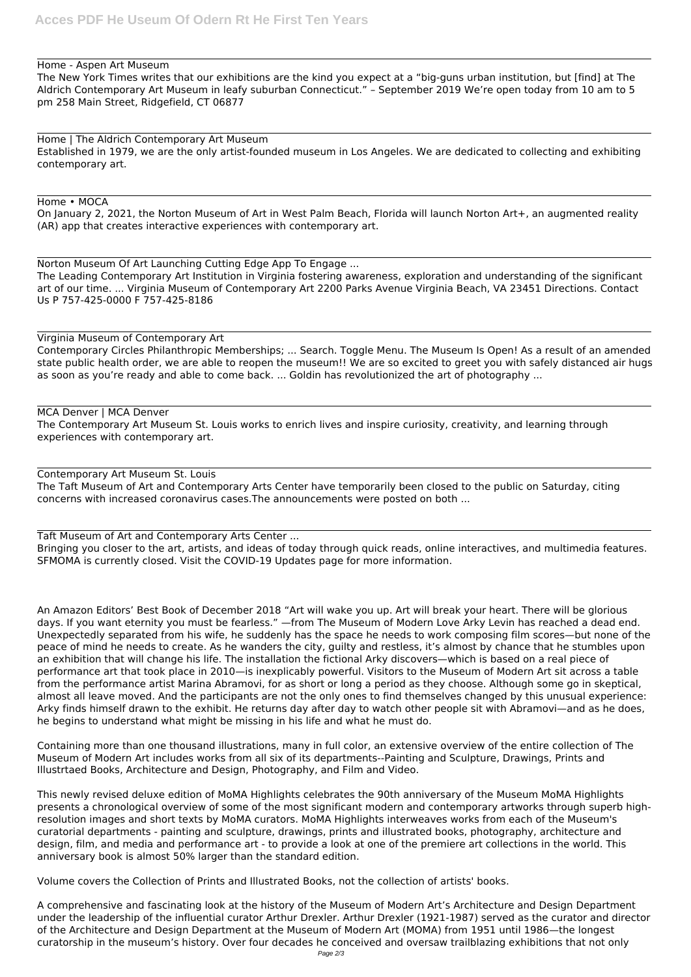#### Home - Aspen Art Museum

The New York Times writes that our exhibitions are the kind you expect at a "big-guns urban institution, but [find] at The Aldrich Contemporary Art Museum in leafy suburban Connecticut." – September 2019 We're open today from 10 am to 5 pm 258 Main Street, Ridgefield, CT 06877

Home | The Aldrich Contemporary Art Museum Established in 1979, we are the only artist-founded museum in Los Angeles. We are dedicated to collecting and exhibiting contemporary art.

#### Home • MOCA

On January 2, 2021, the Norton Museum of Art in West Palm Beach, Florida will launch Norton Art+, an augmented reality (AR) app that creates interactive experiences with contemporary art.

Norton Museum Of Art Launching Cutting Edge App To Engage ... The Leading Contemporary Art Institution in Virginia fostering awareness, exploration and understanding of the significant art of our time. ... Virginia Museum of Contemporary Art 2200 Parks Avenue Virginia Beach, VA 23451 Directions. Contact Us P 757-425-0000 F 757-425-8186

# Virginia Museum of Contemporary Art

Contemporary Circles Philanthropic Memberships; ... Search. Toggle Menu. The Museum Is Open! As a result of an amended state public health order, we are able to reopen the museum!! We are so excited to greet you with safely distanced air hugs as soon as you're ready and able to come back. ... Goldin has revolutionized the art of photography ...

MCA Denver | MCA Denver

The Contemporary Art Museum St. Louis works to enrich lives and inspire curiosity, creativity, and learning through experiences with contemporary art.

Contemporary Art Museum St. Louis The Taft Museum of Art and Contemporary Arts Center have temporarily been closed to the public on Saturday, citing concerns with increased coronavirus cases.The announcements were posted on both ...

Taft Museum of Art and Contemporary Arts Center ...

Bringing you closer to the art, artists, and ideas of today through quick reads, online interactives, and multimedia features. SFMOMA is currently closed. Visit the COVID-19 Updates page for more information.

An Amazon Editors' Best Book of December 2018 "Art will wake you up. Art will break your heart. There will be glorious days. If you want eternity you must be fearless." —from The Museum of Modern Love Arky Levin has reached a dead end. Unexpectedly separated from his wife, he suddenly has the space he needs to work composing film scores—but none of the peace of mind he needs to create. As he wanders the city, guilty and restless, it's almost by chance that he stumbles upon an exhibition that will change his life. The installation the fictional Arky discovers—which is based on a real piece of performance art that took place in 2010—is inexplicably powerful. Visitors to the Museum of Modern Art sit across a table from the performance artist Marina Abramovi, for as short or long a period as they choose. Although some go in skeptical, almost all leave moved. And the participants are not the only ones to find themselves changed by this unusual experience: Arky finds himself drawn to the exhibit. He returns day after day to watch other people sit with Abramovi—and as he does, he begins to understand what might be missing in his life and what he must do.

Containing more than one thousand illustrations, many in full color, an extensive overview of the entire collection of The Museum of Modern Art includes works from all six of its departments--Painting and Sculpture, Drawings, Prints and Illustrtaed Books, Architecture and Design, Photography, and Film and Video.

This newly revised deluxe edition of MoMA Highlights celebrates the 90th anniversary of the Museum MoMA Highlights presents a chronological overview of some of the most significant modern and contemporary artworks through superb highresolution images and short texts by MoMA curators. MoMA Highlights interweaves works from each of the Museum's curatorial departments - painting and sculpture, drawings, prints and illustrated books, photography, architecture and design, film, and media and performance art - to provide a look at one of the premiere art collections in the world. This anniversary book is almost 50% larger than the standard edition.

Volume covers the Collection of Prints and Illustrated Books, not the collection of artists' books.

A comprehensive and fascinating look at the history of the Museum of Modern Art's Architecture and Design Department under the leadership of the influential curator Arthur Drexler. Arthur Drexler (1921-1987) served as the curator and director of the Architecture and Design Department at the Museum of Modern Art (MOMA) from 1951 until 1986—the longest curatorship in the museum's history. Over four decades he conceived and oversaw trailblazing exhibitions that not only